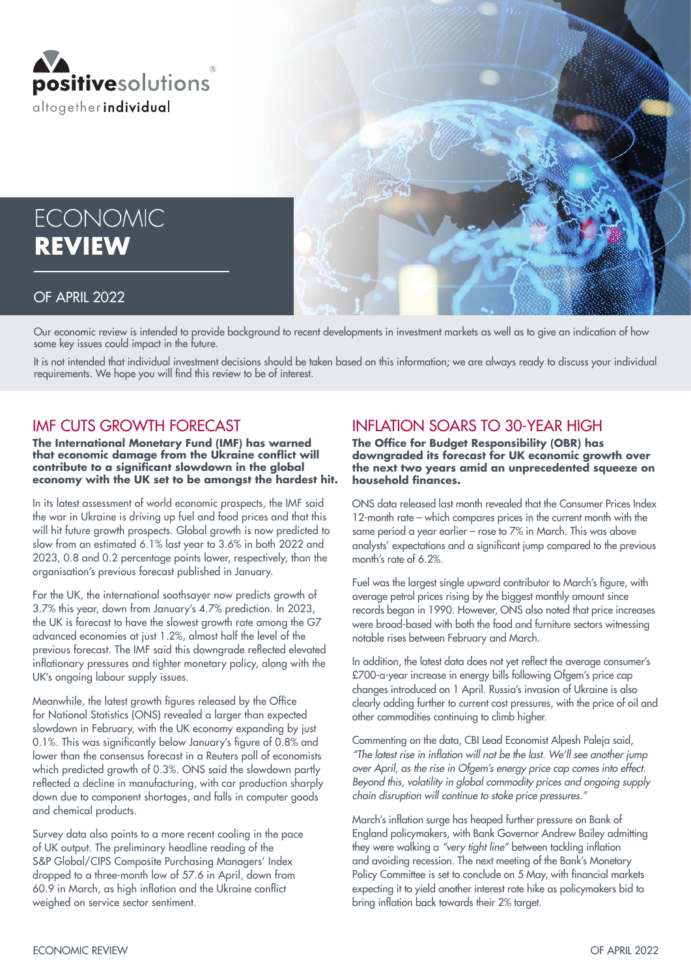



#### OF APRIL 2022

Our economic review is intended to provide background to recent developments in investment markets as well as to give an indication of how some key issues could impact in the future.

It is not intended that individual investment decisions should be taken based on this information; we are always ready to discuss your individual requirements. We hope you will find this review to be of interest.

#### IMF CUTS GROWTH FORECAST

**The International Monetary Fund (IMF) has warned that economic damage from the Ukraine conflict will contribute to a significant slowdown in the global economy with the UK set to be amongst the hardest hit.**

In its latest assessment of world economic prospects, the IMF said the war in Ukraine is driving up fuel and food prices and that this will hit future growth prospects. Global growth is now predicted to slow from an estimated 6.1% last year to 3.6% in both 2022 and 2023, 0.8 and 0.2 percentage points lower, respectively, than the organisation's previous forecast published in January.

For the UK, the international soothsayer now predicts growth of 3.7% this year, down from January's 4.7% prediction. In 2023, the UK is forecast to have the slowest growth rate among the G7 advanced economies at just 1.2%, almost half the level of the previous forecast. The IMF said this downgrade reflected elevated inflationary pressures and tighter monetary policy, along with the UK's ongoing labour supply issues.

Meanwhile, the latest growth figures released by the Office for National Statistics (ONS) revealed a larger than expected slowdown in February, with the UK economy expanding by just 0.1%. This was significantly below January's figure of 0.8% and lower than the consensus forecast in a Reuters poll of economists which predicted growth of 0.3%. ONS said the slowdown partly reflected a decline in manufacturing, with car production sharply down due to component shortages, and falls in computer goods and chemical products.

Survey data also points to a more recent cooling in the pace of UK output. The preliminary headline reading of the S&P Global/CIPS Composite Purchasing Managers' Index dropped to a three-month low of 57.6 in April, down from 60.9 in March, as high inflation and the Ukraine conflict weighed on service sector sentiment.

### INFLATION SOARS TO 30-YEAR HIGH

**The Office for Budget Responsibility (OBR) has downgraded its forecast for UK economic growth over the next two years amid an unprecedented squeeze on household finances.**

ONS data released last month revealed that the Consumer Prices Index 12-month rate – which compares prices in the current month with the same period a year earlier – rose to 7% in March. This was above analysts' expectations and a significant jump compared to the previous month's rate of 6.2%.

Fuel was the largest single upward contributor to March's figure, with average petrol prices rising by the biggest monthly amount since records began in 1990. However, ONS also noted that price increases were broad-based with both the food and furniture sectors witnessing notable rises between February and March.

In addition, the latest data does not yet reflect the average consumer's £700-a-year increase in energy bills following Ofgem's price cap changes introduced on 1 April. Russia's invasion of Ukraine is also clearly adding further to current cost pressures, with the price of oil and other commodities continuing to climb higher.

Commenting on the data, CBI Lead Economist Alpesh Paleja said, "The latest rise in inflation will not be the last. We'll see another jump over April, as the rise in Ofgem's energy price cap comes into effect. Beyond this, volatility in global commodity prices and ongoing supply chain disruption will continue to stoke price pressures."

March's inflation surge has heaped further pressure on Bank of England policymakers, with Bank Governor Andrew Bailey admitting they were walking a "very tight line" between tackling inflation and avoiding recession. The next meeting of the Bank's Monetary Policy Committee is set to conclude on 5 May, with financial markets expecting it to yield another interest rate hike as policymakers bid to bring inflation back towards their 2% target.